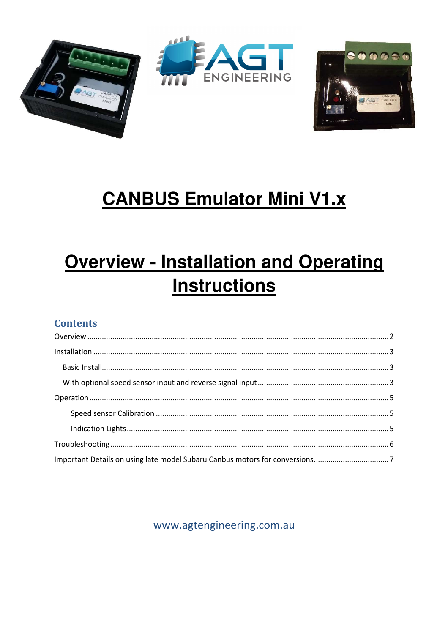



# **CANBUS Emulator Mini V1.x**

# **Overview - Installation and Operating Instructions**

#### **Contents**

www.agtengineering.com.au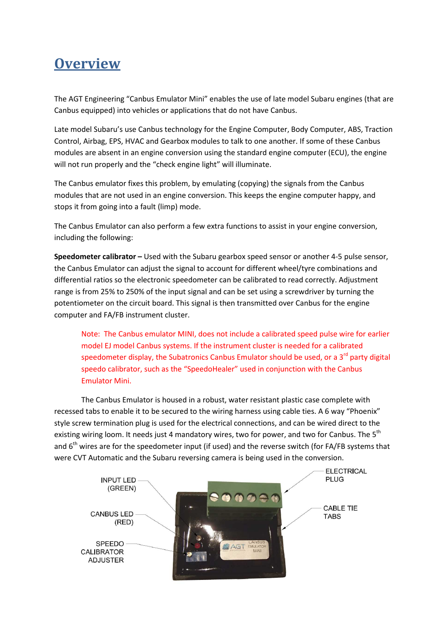### **Overview**

The AGT Engineering "Canbus Emulator Mini" enables the use of late model Subaru engines (that are Canbus equipped) into vehicles or applications that do not have Canbus.

Late model Subaru's use Canbus technology for the Engine Computer, Body Computer, ABS, Traction Control, Airbag, EPS, HVAC and Gearbox modules to talk to one another. If some of these Canbus modules are absent in an engine conversion using the standard engine computer (ECU), the engine will not run properly and the "check engine light" will illuminate.

The Canbus emulator fixes this problem, by emulating (copying) the signals from the Canbus modules that are not used in an engine conversion. This keeps the engine computer happy, and stops it from going into a fault (limp) mode.

The Canbus Emulator can also perform a few extra functions to assist in your engine conversion, including the following:

**Speedometer calibrator –** Used with the Subaru gearbox speed sensor or another 4-5 pulse sensor, the Canbus Emulator can adjust the signal to account for different wheel/tyre combinations and differential ratios so the electronic speedometer can be calibrated to read correctly. Adjustment range is from 25% to 250% of the input signal and can be set using a screwdriver by turning the potentiometer on the circuit board. This signal is then transmitted over Canbus for the engine computer and FA/FB instrument cluster.

Note: The Canbus emulator MINI, does not include a calibrated speed pulse wire for earlier model EJ model Canbus systems. If the instrument cluster is needed for a calibrated speedometer display, the Subatronics Canbus Emulator should be used, or a  $3<sup>rd</sup>$  party digital speedo calibrator, such as the "SpeedoHealer" used in conjunction with the Canbus Emulator Mini.

The Canbus Emulator is housed in a robust, water resistant plastic case complete with recessed tabs to enable it to be secured to the wiring harness using cable ties. A 6 way "Phoenix" style screw termination plug is used for the electrical connections, and can be wired direct to the existing wiring loom. It needs just 4 mandatory wires, two for power, and two for Canbus. The 5<sup>th</sup> and  $6<sup>th</sup>$  wires are for the speedometer input (if used) and the reverse switch (for FA/FB systems that were CVT Automatic and the Subaru reversing camera is being used in the conversion.

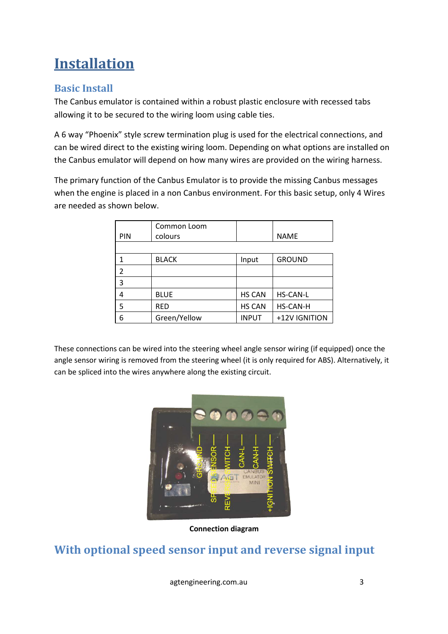## **Installation**

#### **Basic Install**

The Canbus emulator is contained within a robust plastic enclosure with recessed tabs allowing it to be secured to the wiring loom using cable ties.

A 6 way "Phoenix" style screw termination plug is used for the electrical connections, and can be wired direct to the existing wiring loom. Depending on what options are installed on the Canbus emulator will depend on how many wires are provided on the wiring harness.

The primary function of the Canbus Emulator is to provide the missing Canbus messages when the engine is placed in a non Canbus environment. For this basic setup, only 4 Wires are needed as shown below.

| PIN            | Common Loom<br>colours |               | <b>NAME</b>     |
|----------------|------------------------|---------------|-----------------|
|                |                        |               |                 |
| 1              | <b>BLACK</b>           | Input         | <b>GROUND</b>   |
| $\overline{2}$ |                        |               |                 |
| 3              |                        |               |                 |
| 4              | <b>BLUE</b>            | <b>HS CAN</b> | <b>HS-CAN-L</b> |
| 5              | <b>RED</b>             | <b>HS CAN</b> | HS-CAN-H        |
| 6              | Green/Yellow           | <b>INPUT</b>  | +12V IGNITION   |

These connections can be wired into the steering wheel angle sensor wiring (if equipped) once the angle sensor wiring is removed from the steering wheel (it is only required for ABS). Alternatively, it can be spliced into the wires anywhere along the existing circuit.



**Connection diagram** 

#### **With optional speed sensor input and reverse signal input**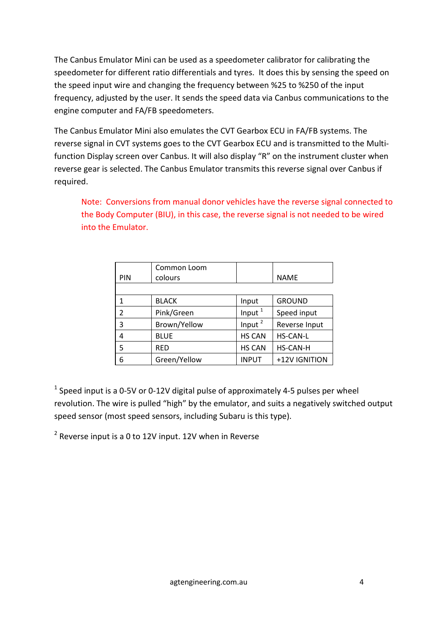The Canbus Emulator Mini can be used as a speedometer calibrator for calibrating the speedometer for different ratio differentials and tyres. It does this by sensing the speed on the speed input wire and changing the frequency between %25 to %250 of the input frequency, adjusted by the user. It sends the speed data via Canbus communications to the engine computer and FA/FB speedometers.

The Canbus Emulator Mini also emulates the CVT Gearbox ECU in FA/FB systems. The reverse signal in CVT systems goes to the CVT Gearbox ECU and is transmitted to the Multifunction Display screen over Canbus. It will also display "R" on the instrument cluster when reverse gear is selected. The Canbus Emulator transmits this reverse signal over Canbus if required.

Note: Conversions from manual donor vehicles have the reverse signal connected to the Body Computer (BIU), in this case, the reverse signal is not needed to be wired into the Emulator.

|                | Common Loom  |                    |                 |  |
|----------------|--------------|--------------------|-----------------|--|
| PIN            | colours      |                    | <b>NAME</b>     |  |
|                |              |                    |                 |  |
| 1              | <b>BLACK</b> | Input              | <b>GROUND</b>   |  |
| $\mathfrak{p}$ | Pink/Green   | Input $1$          | Speed input     |  |
| 3              | Brown/Yellow | Input <sup>2</sup> | Reverse Input   |  |
| 4              | <b>BLUE</b>  | <b>HS CAN</b>      | <b>HS-CAN-L</b> |  |
| 5              | <b>RED</b>   | <b>HS CAN</b>      | <b>HS-CAN-H</b> |  |
| 6              | Green/Yellow | <b>INPUT</b>       | +12V IGNITION   |  |

 $<sup>1</sup>$  Speed input is a 0-5V or 0-12V digital pulse of approximately 4-5 pulses per wheel</sup> revolution. The wire is pulled "high" by the emulator, and suits a negatively switched output speed sensor (most speed sensors, including Subaru is this type).

 $2$  Reverse input is a 0 to 12V input. 12V when in Reverse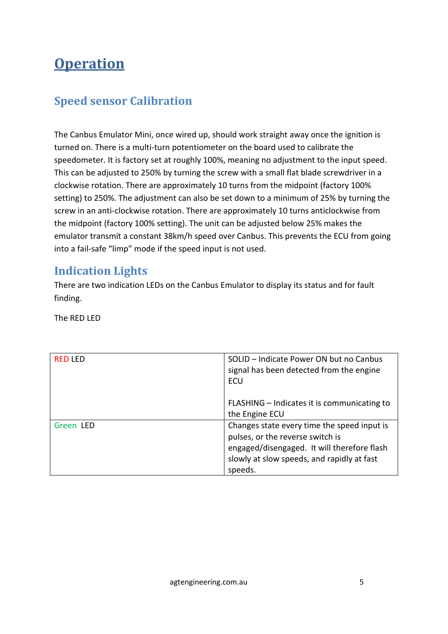### **Operation**

#### **Speed sensor Calibration**

The Canbus Emulator Mini, once wired up, should work straight away once the ignition is turned on. There is a multi-turn potentiometer on the board used to calibrate the speedometer. It is factory set at roughly 100%, meaning no adjustment to the input speed. This can be adjusted to 250% by turning the screw with a small flat blade screwdriver in a clockwise rotation. There are approximately 10 turns from the midpoint (factory 100% setting) to 250%. The adjustment can also be set down to a minimum of 25% by turning the screw in an anti-clockwise rotation. There are approximately 10 turns anticlockwise from the midpoint (factory 100% setting). The unit can be adjusted below 25% makes the emulator transmit a constant 38km/h speed over Canbus. This prevents the ECU from going into a fail-safe "limp" mode if the speed input is not used.

#### **Indication Lights**

There are two indication LEDs on the Canbus Emulator to display its status and for fault finding.

The RED LED

| <b>RED LED</b> | SOLID - Indicate Power ON but no Canbus<br>signal has been detected from the engine<br>ECU                                                                                              |
|----------------|-----------------------------------------------------------------------------------------------------------------------------------------------------------------------------------------|
|                | FLASHING - Indicates it is communicating to<br>the Engine ECU                                                                                                                           |
| Green LED      | Changes state every time the speed input is<br>pulses, or the reverse switch is<br>engaged/disengaged. It will therefore flash<br>slowly at slow speeds, and rapidly at fast<br>speeds. |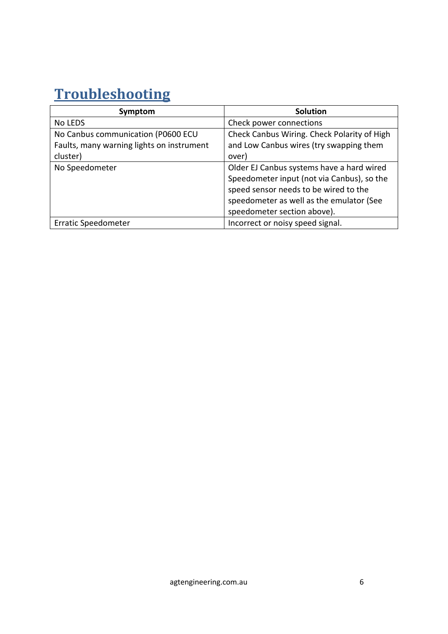## **Troubleshooting**

| Symptom                                   | <b>Solution</b>                             |
|-------------------------------------------|---------------------------------------------|
| No LEDS                                   | Check power connections                     |
| No Canbus communication (P0600 ECU        | Check Canbus Wiring. Check Polarity of High |
| Faults, many warning lights on instrument | and Low Canbus wires (try swapping them     |
| cluster)                                  | over)                                       |
| No Speedometer                            | Older EJ Canbus systems have a hard wired   |
|                                           | Speedometer input (not via Canbus), so the  |
|                                           | speed sensor needs to be wired to the       |
|                                           | speedometer as well as the emulator (See    |
|                                           | speedometer section above).                 |
| Erratic Speedometer                       | Incorrect or noisy speed signal.            |